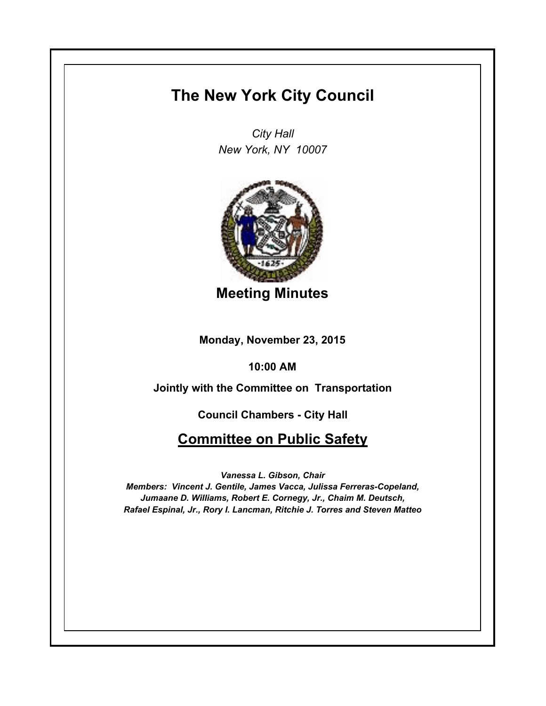## **The New York City Council**

*City Hall New York, NY 10007*



**Meeting Minutes**

**Monday, November 23, 2015**

**10:00 AM**

**Jointly with the Committee on Transportation**

**Council Chambers - City Hall**

**Committee on Public Safety**

*Vanessa L. Gibson, Chair*

*Members: Vincent J. Gentile, James Vacca, Julissa Ferreras-Copeland, Jumaane D. Williams, Robert E. Cornegy, Jr., Chaim M. Deutsch, Rafael Espinal, Jr., Rory I. Lancman, Ritchie J. Torres and Steven Matteo*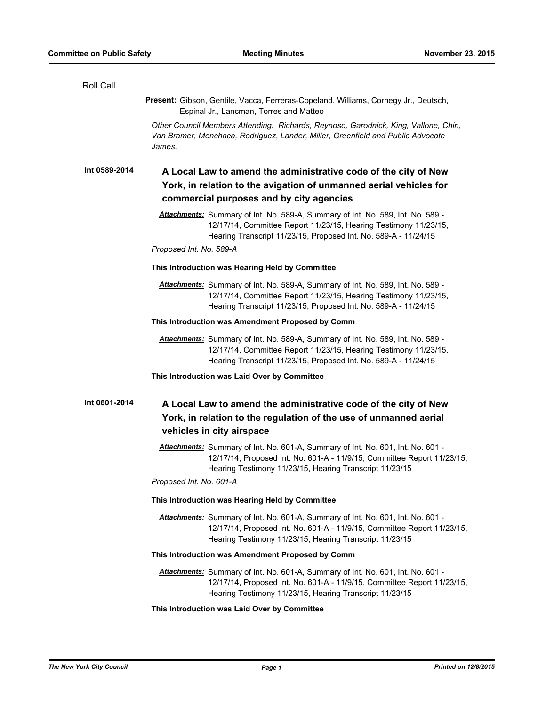| Roll Call     |                                                                                                                                                                                                                                                   |
|---------------|---------------------------------------------------------------------------------------------------------------------------------------------------------------------------------------------------------------------------------------------------|
|               | Present: Gibson, Gentile, Vacca, Ferreras-Copeland, Williams, Cornegy Jr., Deutsch,<br>Espinal Jr., Lancman, Torres and Matteo                                                                                                                    |
|               | Other Council Members Attending: Richards, Reynoso, Garodnick, King, Vallone, Chin,<br>Van Bramer, Menchaca, Rodriguez, Lander, Miller, Greenfield and Public Advocate<br>James.                                                                  |
| Int 0589-2014 | A Local Law to amend the administrative code of the city of New<br>York, in relation to the avigation of unmanned aerial vehicles for<br>commercial purposes and by city agencies                                                                 |
|               | Attachments: Summary of Int. No. 589-A, Summary of Int. No. 589, Int. No. 589 -<br>12/17/14, Committee Report 11/23/15, Hearing Testimony 11/23/15,<br>Hearing Transcript 11/23/15, Proposed Int. No. 589-A - 11/24/15<br>Proposed Int. No. 589-A |
|               | This Introduction was Hearing Held by Committee                                                                                                                                                                                                   |
|               | Attachments: Summary of Int. No. 589-A, Summary of Int. No. 589, Int. No. 589 -<br>12/17/14, Committee Report 11/23/15, Hearing Testimony 11/23/15,<br>Hearing Transcript 11/23/15, Proposed Int. No. 589-A - 11/24/15                            |
|               | This Introduction was Amendment Proposed by Comm                                                                                                                                                                                                  |
|               | Attachments: Summary of Int. No. 589-A, Summary of Int. No. 589, Int. No. 589 -<br>12/17/14, Committee Report 11/23/15, Hearing Testimony 11/23/15,<br>Hearing Transcript 11/23/15, Proposed Int. No. 589-A - 11/24/15                            |
|               | This Introduction was Laid Over by Committee                                                                                                                                                                                                      |
| Int 0601-2014 | A Local Law to amend the administrative code of the city of New<br>York, in relation to the regulation of the use of unmanned aerial<br>vehicles in city airspace                                                                                 |
|               | Attachments: Summary of Int. No. 601-A, Summary of Int. No. 601, Int. No. 601 -<br>12/17/14, Proposed Int. No. 601-A - 11/9/15, Committee Report 11/23/15,<br>Hearing Testimony 11/23/15, Hearing Transcript 11/23/15<br>Proposed Int. No. 601-A  |
|               | This Introduction was Hearing Held by Committee                                                                                                                                                                                                   |
|               | Attachments: Summary of Int. No. 601-A, Summary of Int. No. 601, Int. No. 601 -<br>12/17/14, Proposed Int. No. 601-A - 11/9/15, Committee Report 11/23/15,<br>Hearing Testimony 11/23/15, Hearing Transcript 11/23/15                             |
|               | This Introduction was Amendment Proposed by Comm                                                                                                                                                                                                  |
|               | Attachments: Summary of Int. No. 601-A, Summary of Int. No. 601, Int. No. 601 -<br>12/17/14, Proposed Int. No. 601-A - 11/9/15, Committee Report 11/23/15,<br>Hearing Testimony 11/23/15, Hearing Transcript 11/23/15                             |
|               | This Introduction was Laid Over by Committee                                                                                                                                                                                                      |